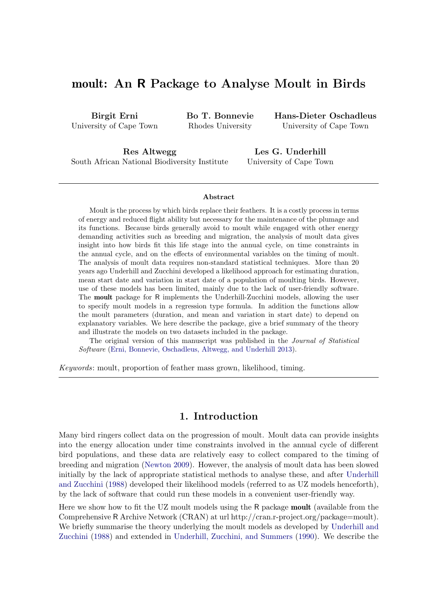# moult: An R Package to Analyse Moult in Birds

Birgit Erni University of Cape Town Bo T. Bonnevie Rhodes University

Hans-Dieter Oschadleus University of Cape Town

Res Altwegg South African National Biodiversity Institute

Les G. Underhill University of Cape Town

#### Abstract

Moult is the process by which birds replace their feathers. It is a costly process in terms of energy and reduced flight ability but necessary for the maintenance of the plumage and its functions. Because birds generally avoid to moult while engaged with other energy demanding activities such as breeding and migration, the analysis of moult data gives insight into how birds fit this life stage into the annual cycle, on time constraints in the annual cycle, and on the effects of environmental variables on the timing of moult. The analysis of moult data requires non-standard statistical techniques. More than 20 years ago Underhill and Zucchini developed a likelihood approach for estimating duration, mean start date and variation in start date of a population of moulting birds. However, use of these models has been limited, mainly due to the lack of user-friendly software. The moult package for R implements the Underhill-Zucchini models, allowing the user to specify moult models in a regression type formula. In addition the functions allow the moult parameters (duration, and mean and variation in start date) to depend on explanatory variables. We here describe the package, give a brief summary of the theory and illustrate the models on two datasets included in the package.

The original version of this manuscript was published in the *Journal of Statistical* Software [\(Erni, Bonnevie, Oschadleus, Altwegg, and Underhill](#page-20-0) [2013\)](#page-20-0).

Keywords: moult, proportion of feather mass grown, likelihood, timing.

## 1. Introduction

Many bird ringers collect data on the progression of moult. Moult data can provide insights into the energy allocation under time constraints involved in the annual cycle of different bird populations, and these data are relatively easy to collect compared to the timing of breeding and migration [\(Newton](#page-21-0) [2009\)](#page-21-0). However, the analysis of moult data has been slowed initially by the lack of appropriate statistical methods to analyse these, and after [Underhill](#page-21-1) [and Zucchini](#page-21-1) [\(1988\)](#page-21-1) developed their likelihood models (referred to as UZ models henceforth), by the lack of software that could run these models in a convenient user-friendly way.

Here we show how to fit the UZ moult models using the R package moult (available from the Comprehensive R Archive Network (CRAN) at url http://cran.r-project.org/package=moult). We briefly summarise the theory underlying the moult models as developed by [Underhill and](#page-21-1) [Zucchini](#page-21-1) [\(1988\)](#page-21-1) and extended in [Underhill, Zucchini, and Summers](#page-21-2) [\(1990\)](#page-21-2). We describe the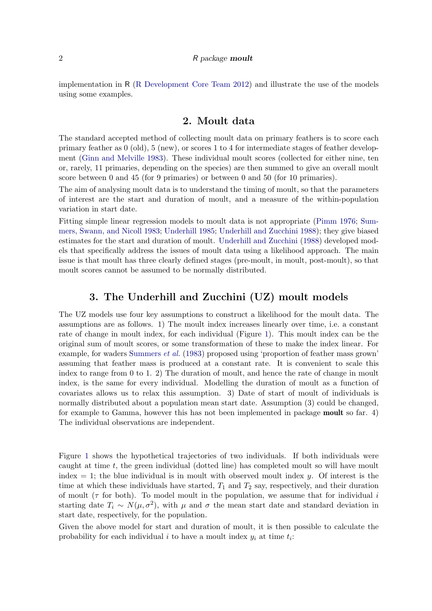#### 2 R package moult

implementation in R [\(R Development Core Team](#page-21-3) [2012\)](#page-21-3) and illustrate the use of the models using some examples.

## 2. Moult data

The standard accepted method of collecting moult data on primary feathers is to score each primary feather as 0 (old), 5 (new), or scores 1 to 4 for intermediate stages of feather development [\(Ginn and Melville](#page-21-4) [1983\)](#page-21-4). These individual moult scores (collected for either nine, ten or, rarely, 11 primaries, depending on the species) are then summed to give an overall moult score between 0 and 45 (for 9 primaries) or between 0 and 50 (for 10 primaries).

The aim of analysing moult data is to understand the timing of moult, so that the parameters of interest are the start and duration of moult, and a measure of the within-population variation in start date.

Fitting simple linear regression models to moult data is not appropriate [\(Pimm](#page-21-5) [1976;](#page-21-5) [Sum](#page-21-6)[mers, Swann, and Nicoll](#page-21-6) [1983;](#page-21-6) [Underhill](#page-21-7) [1985;](#page-21-7) [Underhill and Zucchini](#page-21-1) [1988\)](#page-21-1); they give biased estimates for the start and duration of moult. [Underhill and Zucchini](#page-21-1) [\(1988\)](#page-21-1) developed models that specifically address the issues of moult data using a likelihood approach. The main issue is that moult has three clearly defined stages (pre-moult, in moult, post-moult), so that moult scores cannot be assumed to be normally distributed.

## 3. The Underhill and Zucchini (UZ) moult models

The UZ models use four key assumptions to construct a likelihood for the moult data. The assumptions are as follows. 1) The moult index increases linearly over time, i.e. a constant rate of change in moult index, for each individual (Figure [1\)](#page-2-0). This moult index can be the original sum of moult scores, or some transformation of these to make the index linear. For example, for waders [Summers](#page-21-6) *et al.* [\(1983\)](#page-21-6) proposed using 'proportion of feather mass grown' assuming that feather mass is produced at a constant rate. It is convenient to scale this index to range from 0 to 1. 2) The duration of moult, and hence the rate of change in moult index, is the same for every individual. Modelling the duration of moult as a function of covariates allows us to relax this assumption. 3) Date of start of moult of individuals is normally distributed about a population mean start date. Assumption (3) could be changed, for example to Gamma, however this has not been implemented in package moult so far. 4) The individual observations are independent.

Figure [1](#page-2-0) shows the hypothetical trajectories of two individuals. If both individuals were caught at time  $t$ , the green individual (dotted line) has completed moult so will have moult index  $= 1$ ; the blue individual is in moult with observed moult index y. Of interest is the time at which these individuals have started,  $T_1$  and  $T_2$  say, respectively, and their duration of moult ( $\tau$  for both). To model moult in the population, we assume that for individual i starting date  $T_i \sim N(\mu, \sigma^2)$ , with  $\mu$  and  $\sigma$  the mean start date and standard deviation in start date, respectively, for the population.

Given the above model for start and duration of moult, it is then possible to calculate the probability for each individual  $i$  to have a moult index  $y_i$  at time  $t_i$ :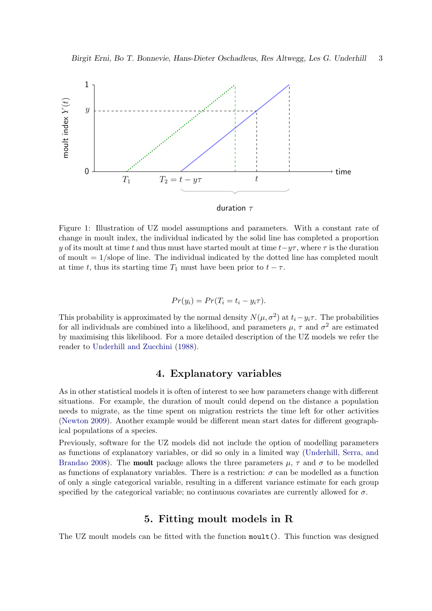



<span id="page-2-0"></span>Figure 1: Illustration of UZ model assumptions and parameters. With a constant rate of change in moult index, the individual indicated by the solid line has completed a proportion y of its moult at time t and thus must have started moult at time  $t-\gamma\tau$ , where  $\tau$  is the duration of moult  $= 1$ /slope of line. The individual indicated by the dotted line has completed moult at time t, thus its starting time  $T_1$  must have been prior to  $t - \tau$ .

$$
Pr(y_i) = Pr(T_i = t_i - y_i \tau).
$$

This probability is approximated by the normal density  $N(\mu, \sigma^2)$  at  $t_i - y_i \tau$ . The probabilities for all individuals are combined into a likelihood, and parameters  $\mu$ ,  $\tau$  and  $\sigma^2$  are estimated by maximising this likelihood. For a more detailed description of the UZ models we refer the reader to [Underhill and Zucchini](#page-21-1) [\(1988\)](#page-21-1).

## 4. Explanatory variables

As in other statistical models it is often of interest to see how parameters change with different situations. For example, the duration of moult could depend on the distance a population needs to migrate, as the time spent on migration restricts the time left for other activities [\(Newton](#page-21-0) [2009\)](#page-21-0). Another example would be different mean start dates for different geographical populations of a species.

Previously, software for the UZ models did not include the option of modelling parameters as functions of explanatory variables, or did so only in a limited way [\(Underhill, Serra, and](#page-21-8) [Brandao](#page-21-8) [2008\)](#page-21-8). The **moult** package allows the three parameters  $\mu$ ,  $\tau$  and  $\sigma$  to be modelled as functions of explanatory variables. There is a restriction:  $\sigma$  can be modelled as a function of only a single categorical variable, resulting in a different variance estimate for each group specified by the categorical variable; no continuous covariates are currently allowed for  $\sigma$ .

## 5. Fitting moult models in R

The UZ moult models can be fitted with the function moult(). This function was designed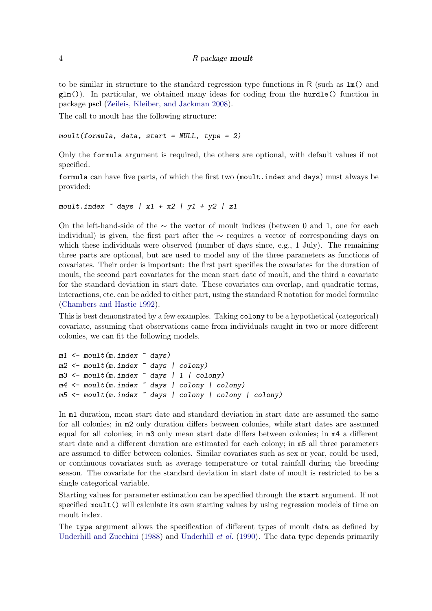to be similar in structure to the standard regression type functions in R (such as  $\text{Im}()$  and  $glm()$ . In particular, we obtained many ideas for coding from the hurdle() function in package pscl [\(Zeileis, Kleiber, and Jackman](#page-21-9) [2008\)](#page-21-9).

The call to moult has the following structure:

```
moult(formula, data, start = NULL, type = 2)
```
Only the formula argument is required, the others are optional, with default values if not specified.

formula can have five parts, of which the first two (moult.index and days) must always be provided:

```
moult.index \degree days | x1 + x2 | y1 + y2 | z1
```
On the left-hand-side of the ∼ the vector of moult indices (between 0 and 1, one for each individual) is given, the first part after the  $\sim$  requires a vector of corresponding days on which these individuals were observed (number of days since, e.g., 1 July). The remaining three parts are optional, but are used to model any of the three parameters as functions of covariates. Their order is important: the first part specifies the covariates for the duration of moult, the second part covariates for the mean start date of moult, and the third a covariate for the standard deviation in start date. These covariates can overlap, and quadratic terms, interactions, etc. can be added to either part, using the standard R notation for model formulae [\(Chambers and Hastie](#page-20-1) [1992\)](#page-20-1).

This is best demonstrated by a few examples. Taking colony to be a hypothetical (categorical) covariate, assuming that observations came from individuals caught in two or more different colonies, we can fit the following models.

```
m1 <- moult(m.index ~ days)
m2 <- moult(m.index ~ days | colony)
m3 <- moult(m.index ~ days | 1 | colony)
m4 \leq m \text{curl}(m \cdot \text{index} \times \text{days} \mid \text{colour} \mid \text{colour})m5 <- moult(m.index ~ days | colony | colony | colony)
```
In m1 duration, mean start date and standard deviation in start date are assumed the same for all colonies; in m2 only duration differs between colonies, while start dates are assumed equal for all colonies; in m3 only mean start date differs between colonies; in m4 a different start date and a different duration are estimated for each colony; in m5 all three parameters are assumed to differ between colonies. Similar covariates such as sex or year, could be used, or continuous covariates such as average temperature or total rainfall during the breeding season. The covariate for the standard deviation in start date of moult is restricted to be a single categorical variable.

Starting values for parameter estimation can be specified through the start argument. If not specified moult() will calculate its own starting values by using regression models of time on moult index.

The type argument allows the specification of different types of moult data as defined by [Underhill and Zucchini](#page-21-1) [\(1988\)](#page-21-1) and [Underhill](#page-21-2) *et al.* [\(1990\)](#page-21-2). The data type depends primarily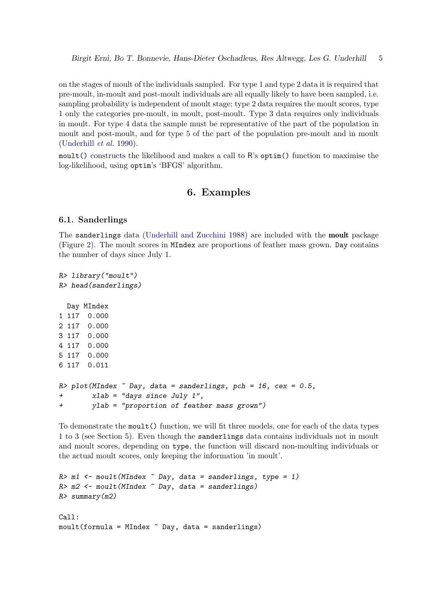on the stages of moult of the individuals sampled. For type 1 and type 2 data it is required that pre-moult, in-moult and post-moult individuals are all equally likely to have been sampled, i.e. sampling probability is independent of moult stage; type 2 data requires the moult scores, type 1 only the categories pre-moult, in moult, post-moult. Type 3 data requires only individuals in moult. For type 4 data the sample must be representative of the part of the population in moult and post-moult, and for type 5 of the part of the population pre-moult and in moult [\(Underhill](#page-21-2) et al. [1990\)](#page-21-2).

moult() constructs the likelihood and makes a call to R's optim() function to maximise the log-likelihood, using optim's 'BFGS' algorithm.

## 6. Examples

### 6.1. Sanderlings

The sanderlings data [\(Underhill and Zucchini](#page-21-1) [1988\)](#page-21-1) are included with the moult package (Figure [2\)](#page-5-0). The moult scores in MIndex are proportions of feather mass grown. Day contains the number of days since July 1.

```
R> library("moult")
R> head(sanderlings)
 Day MIndex
1 117 0.000
2 117 0.000
3 117 0.000
4 117 0.000
5 117 0.000
6 117 0.011
R> plot(MIndex \degree Day, data = sanderlings, pch = 16, cex = 0.5,
+ xlab = "days since July 1",
+ ylab = "proportion of feather mass grown")
```
To demonstrate the moult() function, we will fit three models, one for each of the data types 1 to 3 (see Section 5). Even though the sanderlings data contains individuals not in moult and moult scores, depending on type, the function will discard non-moulting individuals or the actual moult scores, only keeping the information 'in moult'.

```
R > m1 <- moult (MIndex \sim Day, data = sanderlings, type = 1)
R > m2 <- moult (MIndex \tilde{b} Day, data = sanderlings)
R> summary(m2)
Call:
mout(formula = MIndex \sim Day, data = sanderlings)
```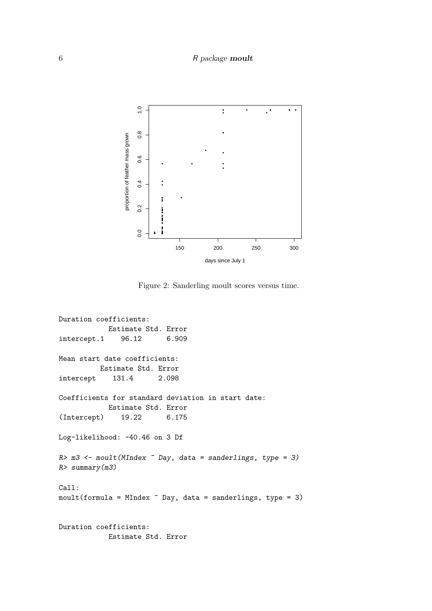### 6 R package moult



<span id="page-5-0"></span>Figure 2: Sanderling moult scores versus time.

```
Duration coefficients:
           Estimate Std. Error
intercept.1 96.12 6.909
Mean start date coefficients:
         Estimate Std. Error
intercept 131.4 2.098
Coefficients for standard deviation in start date:
           Estimate Std. Error
(Intercept) 19.22 6.175
Log-likelihood: -40.46 on 3 Df
R > m3 <- moult (MIndex \degree Day, data = sanderlings, type = 3)
R> summary(m3)
Call:
mout(formula = MIndex " Day, data = sanderlings, type = 3)Duration coefficients:
           Estimate Std. Error
```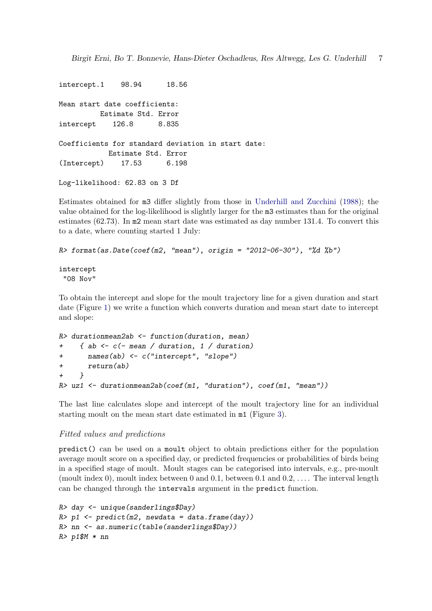Birgit Erni, Bo T. Bonnevie, Hans-Dieter Oschadleus, Res Altwegg, Les G. Underhill 7

intercept.1 98.94 18.56 Mean start date coefficients: Estimate Std. Error intercept 126.8 8.835 Coefficients for standard deviation in start date: Estimate Std. Error (Intercept) 17.53 6.198

```
Log-likelihood: 62.83 on 3 Df
```
Estimates obtained for m3 differ slightly from those in [Underhill and Zucchini](#page-21-1) [\(1988\)](#page-21-1); the value obtained for the log-likelihood is slightly larger for the m3 estimates than for the original estimates (62.73). In m2 mean start date was estimated as day number 131.4. To convert this to a date, where counting started 1 July:

```
R format(as.Date(coef(m2, "mean"), origin = "2012-06-30"), "%d %b")
```
intercept "08 Nov"

To obtain the intercept and slope for the moult trajectory line for a given duration and start date (Figure [1\)](#page-2-0) we write a function which converts duration and mean start date to intercept and slope:

```
R> durationmean2ab <- function(duration, mean)
+ { ab <- c(- mean / duration, 1 / duration)
+ names(ab) <- c("intercept", "slope")
+ return(ab)
+ }
R> uz1 <- durationmean2ab(coef(m1, "duration"), coef(m1, "mean"))
```
The last line calculates slope and intercept of the moult trajectory line for an individual starting moult on the mean start date estimated in m1 (Figure [3\)](#page-11-0).

### Fitted values and predictions

predict() can be used on a moult object to obtain predictions either for the population average moult score on a specified day, or predicted frequencies or probabilities of birds being in a specified stage of moult. Moult stages can be categorised into intervals, e.g., pre-moult (moult index 0), moult index between 0 and 0.1, between 0.1 and  $0.2, \ldots$ . The interval length can be changed through the intervals argument in the predict function.

```
R> day <- unique(sanderlings$Day)
R> p1 <- predict (m2, newdata = data.frame(day))
R> nn <- as.numeric(table(sanderlings$Day))
R> p1$M * nn
```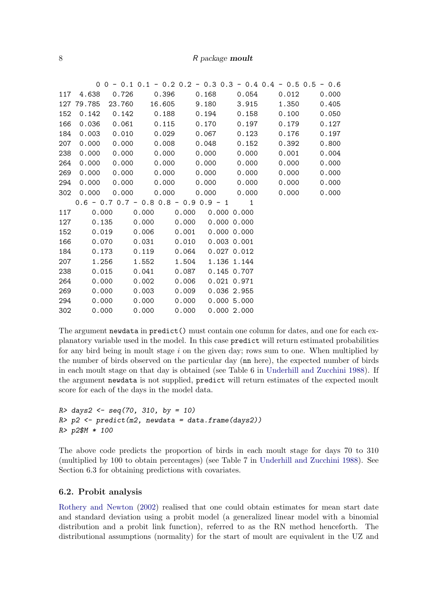|     |           |                   |                                 |       |                                           | $0$ 0 - 0.1 0.1 - 0.2 0.2 - 0.3 0.3 - 0.4 0.4 - 0.5 0.5 - 0.6 |       |
|-----|-----------|-------------------|---------------------------------|-------|-------------------------------------------|---------------------------------------------------------------|-------|
| 117 | 4.638     | 0.726             | 0.396                           | 0.168 | 0.054                                     | 0.012                                                         | 0.000 |
|     |           | 127 79.785 23.760 | 16.605                          | 9.180 | 3.915                                     | 1.350                                                         | 0.405 |
| 152 |           |                   | $0.142$ $0.142$ $0.188$         | 0.194 | 0.158                                     | 0.100                                                         | 0.050 |
| 166 |           |                   | $0.036$ $0.061$ $0.115$         | 0.170 | 0.197                                     | 0.179                                                         | 0.127 |
| 184 | 0.003     | 0.010             | 0.029                           | 0.067 | 0.123                                     | 0.176                                                         | 0.197 |
| 207 | 0.000     | 0.000             | 0.008                           | 0.048 | 0.152                                     | 0.392                                                         | 0.800 |
| 238 | 0.000     | 0.000             | 0.000                           | 0.000 | 0.000                                     | 0.001                                                         | 0.004 |
| 264 | 0.000     | 0.000             | 0.000                           | 0.000 | 0.000                                     | 0.000                                                         | 0.000 |
| 269 | 0.000     | 0.000             | 0.000                           | 0.000 | 0.000                                     | 0.000                                                         | 0.000 |
| 294 | 0.000     | 0.000             | 0.000                           | 0.000 | 0.000                                     | 0.000                                                         | 0.000 |
|     |           |                   |                                 |       | 302  0.000  0.000  0.000  0.000  0.000    | 0.000                                                         | 0.000 |
|     |           |                   |                                 |       | $0.6 - 0.7$ 0.7 - 0.8 0.8 - 0.9 0.9 - 1 1 |                                                               |       |
|     |           |                   |                                 |       |                                           |                                                               |       |
|     | 117 0.000 |                   |                                 |       | $0.000$ $0.000$ $0.000$ $0.000$           |                                                               |       |
|     | 127 0.135 |                   | $0.000$ $0.000$ $0.000$ $0.000$ |       |                                           |                                                               |       |
| 152 | 0.019     |                   | $0.006$ $0.001$                 |       | 0.00000.000                               |                                                               |       |
| 166 | 0.070     |                   | $0.031$ $0.010$                 |       | $0.003$ $0.001$                           |                                                               |       |
| 184 | 0.173     |                   | $0.119$ $0.064$                 |       | $0.027$ $0.012$                           |                                                               |       |
| 207 | 1.256     |                   | 1.552                           | 1.504 | 1.136 1.144                               |                                                               |       |
| 238 | 0.015     |                   | 0.041                           | 0.087 | 0.145 0.707                               |                                                               |       |
| 264 | 0.000     |                   | 0.002                           | 0.006 | $0.021$ $0.971$                           |                                                               |       |
| 269 | 0.000     |                   | 0.003                           | 0.009 | 0.036 2.955                               |                                                               |       |
| 294 | 0.000     |                   | 0.000                           | 0.000 | 0.0005.000                                |                                                               |       |

The argument newdata in predict() must contain one column for dates, and one for each explanatory variable used in the model. In this case predict will return estimated probabilities for any bird being in moult stage  $i$  on the given day; rows sum to one. When multiplied by the number of birds observed on the particular day (nn here), the expected number of birds in each moult stage on that day is obtained (see Table 6 in [Underhill and Zucchini](#page-21-1) [1988\)](#page-21-1). If the argument newdata is not supplied, predict will return estimates of the expected moult score for each of the days in the model data.

```
R > \text{days2} < - \text{seq}(70, 310, \text{by} = 10)R> p2 <- predict(m2, newdata = data-frame(days2))R> p2$M * 100
```
The above code predicts the proportion of birds in each moult stage for days 70 to 310 (multiplied by 100 to obtain percentages) (see Table 7 in [Underhill and Zucchini](#page-21-1) [1988\)](#page-21-1). See Section 6.3 for obtaining predictions with covariates.

### 6.2. Probit analysis

[Rothery and Newton](#page-21-10) [\(2002\)](#page-21-10) realised that one could obtain estimates for mean start date and standard deviation using a probit model (a generalized linear model with a binomial distribution and a probit link function), referred to as the RN method henceforth. The distributional assumptions (normality) for the start of moult are equivalent in the UZ and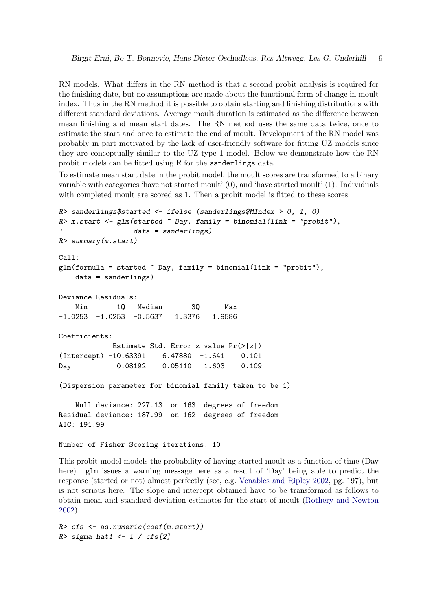RN models. What differs in the RN method is that a second probit analysis is required for the finishing date, but no assumptions are made about the functional form of change in moult index. Thus in the RN method it is possible to obtain starting and finishing distributions with different standard deviations. Average moult duration is estimated as the difference between mean finishing and mean start dates. The RN method uses the same data twice, once to estimate the start and once to estimate the end of moult. Development of the RN model was probably in part motivated by the lack of user-friendly software for fitting UZ models since they are conceptually similar to the UZ type 1 model. Below we demonstrate how the RN probit models can be fitted using R for the sanderlings data.

To estimate mean start date in the probit model, the moult scores are transformed to a binary variable with categories 'have not started moult' (0), and 'have started moult' (1). Individuals with completed moult are scored as 1. Then a probit model is fitted to these scores.

```
R> sanderlings$started \le ifelse (sanderlings$MIndex > 0, 1, 0)
R \geq m.start \leq glm(started \sim Day, family = binomial(link = "probit"),
+ data = sanderlings)
R> summary(m.start)
Call:
glm(formula = started \text{Day}, family = binomial(link = "probit"),data = sanderlings)
Deviance Residuals:
   Min 1Q Median 3Q Max
-1.0253 -1.0253 -0.5637 1.3376 1.9586Coefficients:
            Estimate Std. Error z value Pr(>|z|)
(Intercept) -10.63391 6.47880 -1.641 0.101
Day 0.08192 0.05110 1.603 0.109
(Dispersion parameter for binomial family taken to be 1)
   Null deviance: 227.13 on 163 degrees of freedom
Residual deviance: 187.99 on 162 degrees of freedom
AIC: 191.99
Number of Fisher Scoring iterations: 10
```
This probit model models the probability of having started moult as a function of time (Day here). glm issues a warning message here as a result of 'Day' being able to predict the response (started or not) almost perfectly (see, e.g. [Venables and Ripley](#page-21-11) [2002,](#page-21-11) pg. 197), but is not serious here. The slope and intercept obtained have to be transformed as follows to obtain mean and standard deviation estimates for the start of moult [\(Rothery and Newton](#page-21-10) [2002\)](#page-21-10).

```
R> cfs <- as.numeric(coef(m.start))
R> sigma.hat1 <- 1 / cfs[2]
```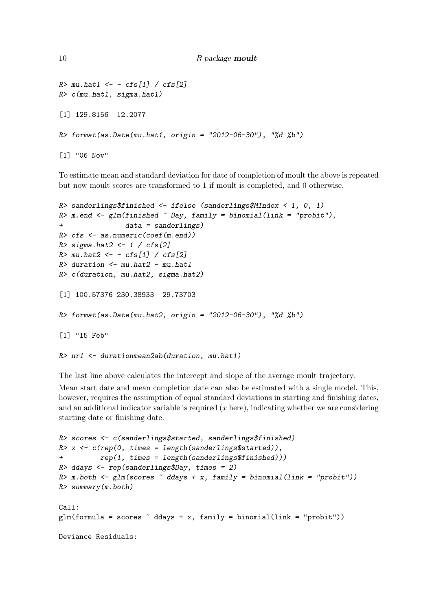```
10 R package moult
```

```
R> mu.hat1 <- - cfs[1] / cfs[2]
R> c(mu.hat1, sigma.hat1)
[1] 129.8156 12.2077
R> format(as.Date(mu.hat1, origin = "2012-06-30"), "%d %b")
[1] "06 Nov"
```
To estimate mean and standard deviation for date of completion of moult the above is repeated but now moult scores are transformed to 1 if moult is completed, and 0 otherwise.

```
R> sanderlings$finished <- ifelse (sanderlings$MIndex < 1, 0, 1)
R> m.end <- glm(finished \sim Day, family = binomial(link = "probit"),+ data = sanderlings)
R> cfs <- as.numeric(coef(m.end))
R> sigma.hat2 <- 1 / cfs[2]R> mu.hat2 <- - cfs[1] / cfs[2]
R> duration \leq mu.hat2 - mu.hat1
R> c(duration, mu.hat2, sigma.hat2)
[1] 100.57376 230.38933 29.73703
R> format(as.Date(mu.hat2, origin = "2012-06-30"), "\%d\%b")
[1] "15 Feb"
```
The last line above calculates the intercept and slope of the average moult trajectory.

R> nr1 <- durationmean2ab(duration, mu.hat1)

Mean start date and mean completion date can also be estimated with a single model. This, however, requires the assumption of equal standard deviations in starting and finishing dates, and an additional indicator variable is required  $(x \text{ here})$ , indicating whether we are considering starting date or finishing date.

```
R> scores <- c(sanderlings$started, sanderlings$finished)
R> x <- c(rep(0, times = length(sanderlings$started)),
+ rep(1, times = length(sanderlings$finished)))
R> ddays <- rep(sanderlings$Day, times = 2)
R > m.both \leq g \ln(\text{scores } \tilde{ } ddays + x, family = binomial(link = "probit"))
R> summary(m.both)
Call:
glm(formula = scores ~^d datays + x, family = binomial(link = "probit"))Deviance Residuals:
```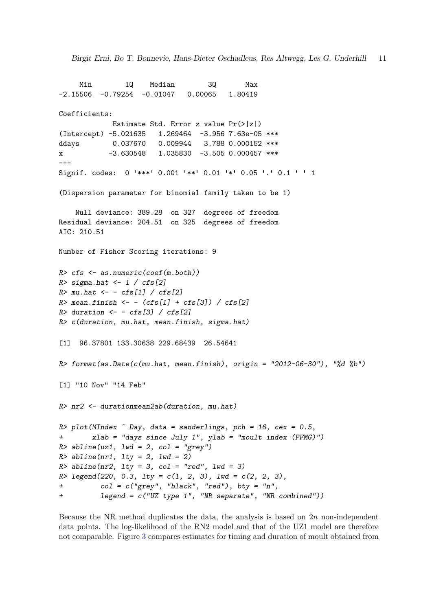```
Min 1Q Median 3Q Max
-2.15506 -0.79254 -0.01047 0.00065 1.80419
Coefficients:
            Estimate Std. Error z value Pr(>|z|)
(Intercept) -5.021635 1.269464 -3.956 7.63e-05 ***
ddays 0.037670 0.009944 3.788 0.000152 ***
x -3.630548 1.035830 -3.505 0.000457 ***
---
Signif. codes: 0 '***' 0.001 '**' 0.01 '*' 0.05 '.' 0.1 ' ' 1
(Dispersion parameter for binomial family taken to be 1)
   Null deviance: 389.28 on 327 degrees of freedom
Residual deviance: 204.51 on 325 degrees of freedom
AIC: 210.51
Number of Fisher Scoring iterations: 9
R> cfs <- as.numeric(coef(m.both))
R> sigma.hat \leftarrow 1 / cfs[2]
R> mu.hat \leftarrow - cfs[1] / cfs[2]R> mean.finish <- - (cfs[1] + cfs[3]) / cfs[2]
R> duration \leftarrow - cfs[3] / cfs[2]
R> c(duration, mu.hat, mean.finish, sigma.hat)
[1] 96.37801 133.30638 229.68439 26.54641
R> format(as.Date(c(mu.hat, mean.finish), origin = "2012-06-30"), "%d %b")
[1] "10 Nov" "14 Feb"
R> nr2 <- durationmean2ab(duration, mu.hat)
R> plot(MIndex \degree Day, data = sanderlings, pch = 16, cex = 0.5,
+ xlab = "days since July 1", ylab = "moult index (PFMG)")
R> abline(uz1, lwd = 2, col = "grey")
R > abline(nr1, lty = 2, lwd = 2)
R > abline(nr2, lty = 3, col = "red", lwd = 3)
R > \text{ legend}(220, 0.3, 1ty = c(1, 2, 3), 1wd = c(2, 2, 3),+ col = c("grey", "black", "red"), bty = "n",+ legend = c("UZ type 1", "NR separate", "NR combined"))
```
Because the NR method duplicates the data, the analysis is based on  $2n$  non-independent data points. The log-likelihood of the RN2 model and that of the UZ1 model are therefore not comparable. Figure [3](#page-11-0) compares estimates for timing and duration of moult obtained from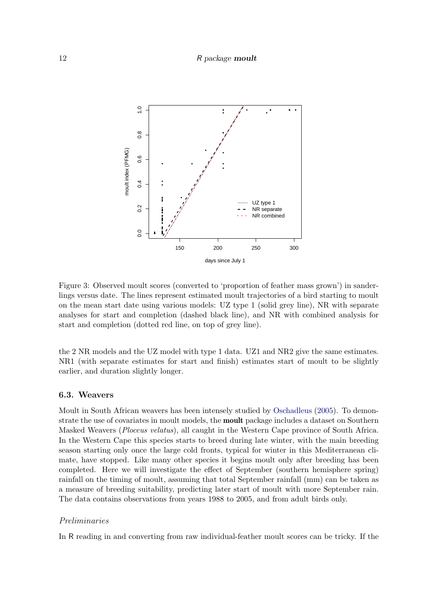#### 12 R package moult



<span id="page-11-0"></span>Figure 3: Observed moult scores (converted to 'proportion of feather mass grown') in sanderlings versus date. The lines represent estimated moult trajectories of a bird starting to moult on the mean start date using various models: UZ type 1 (solid grey line), NR with separate analyses for start and completion (dashed black line), and NR with combined analysis for start and completion (dotted red line, on top of grey line).

the 2 NR models and the UZ model with type 1 data. UZ1 and NR2 give the same estimates. NR1 (with separate estimates for start and finish) estimates start of moult to be slightly earlier, and duration slightly longer.

#### 6.3. Weavers

Moult in South African weavers has been intensely studied by [Oschadleus](#page-21-12) [\(2005\)](#page-21-12). To demonstrate the use of covariates in moult models, the moult package includes a dataset on Southern Masked Weavers (Ploceus velatus), all caught in the Western Cape province of South Africa. In the Western Cape this species starts to breed during late winter, with the main breeding season starting only once the large cold fronts, typical for winter in this Mediterranean climate, have stopped. Like many other species it begins moult only after breeding has been completed. Here we will investigate the effect of September (southern hemisphere spring) rainfall on the timing of moult, assuming that total September rainfall (mm) can be taken as a measure of breeding suitability, predicting later start of moult with more September rain. The data contains observations from years 1988 to 2005, and from adult birds only.

#### Preliminaries

In R reading in and converting from raw individual-feather moult scores can be tricky. If the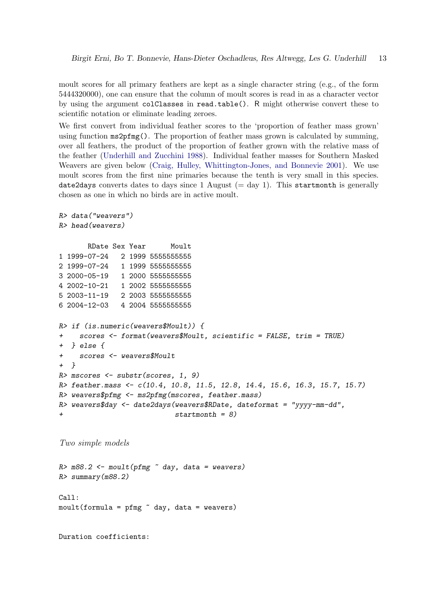moult scores for all primary feathers are kept as a single character string (e.g., of the form 5444320000), one can ensure that the column of moult scores is read in as a character vector by using the argument colClasses in read.table(). R might otherwise convert these to scientific notation or eliminate leading zeroes.

We first convert from individual feather scores to the 'proportion of feather mass grown' using function ms2pfmg(). The proportion of feather mass grown is calculated by summing, over all feathers, the product of the proportion of feather grown with the relative mass of the feather [\(Underhill and Zucchini](#page-21-1) [1988\)](#page-21-1). Individual feather masses for Southern Masked Weavers are given below [\(Craig, Hulley, Whittington-Jones, and Bonnevie](#page-20-2) [2001\)](#page-20-2). We use moult scores from the first nine primaries because the tenth is very small in this species. date2days converts dates to days since 1 August  $(= day 1)$ . This startmonth is generally chosen as one in which no birds are in active moult.

```
R> data("weavers")
R> head(weavers)
      RDate Sex Year Moult
1 1999-07-24 2 1999 5555555555
2 1999-07-24 1 1999 5555555555
3 2000-05-19 1 2000 5555555555
4 2002-10-21 1 2002 5555555555
5 2003-11-19 2 2003 5555555555
6 2004-12-03 4 2004 5555555555
R> if (is.numeric(weavers$Moult)) {
    scores < - format(weavers$Moult, scientific = FALSE, trim = TRUE)+ } else {
+ scores <- weavers$Moult
+ }
R> mscores <- substr(scores, 1, 9)
R> feather.mass <- c(10.4, 10.8, 11.5, 12.8, 14.4, 15.6, 16.3, 15.7, 15.7)
R> weavers$pfmg <- ms2pfmg(mscores, feather.mass)
R weavers$day <- date2days(weavers$RDate, dateformat = "yyyy-mm-dd",
                           startmonth = 8)
```
Two simple models

 $R > m88.2$  <-  $moult(pfmg \tilde{\ }$  day, data = weavers) R> summary(m88.2) Call:  $mout(formula = pfmg \text{ and } day, data = weavers)$ 

Duration coefficients: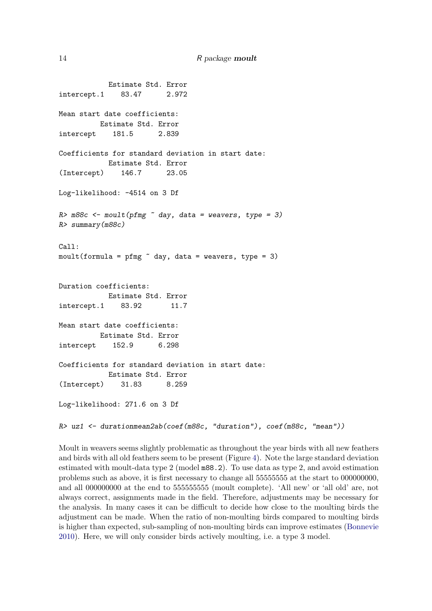Estimate Std. Error intercept.1 83.47 2.972 Mean start date coefficients: Estimate Std. Error intercept 181.5 2.839 Coefficients for standard deviation in start date: Estimate Std. Error (Intercept) 146.7 23.05 Log-likelihood: -4514 on 3 Df  $R$  m88c <- moult(pfmg  $\tilde{C}$  day, data = weavers, type = 3) R> summary(m88c) Call: moult(formula = pfmg  $\sim$  day, data = weavers, type = 3) Duration coefficients: Estimate Std. Error intercept.1 83.92 11.7 Mean start date coefficients: Estimate Std. Error intercept 152.9 6.298 Coefficients for standard deviation in start date: Estimate Std. Error (Intercept) 31.83 8.259 Log-likelihood: 271.6 on 3 Df R> uz1 <- durationmean2ab(coef(m88c, "duration"), coef(m88c, "mean"))

Moult in weavers seems slightly problematic as throughout the year birds with all new feathers and birds with all old feathers seem to be present (Figure [4\)](#page-15-0). Note the large standard deviation estimated with moult-data type 2 (model m88.2). To use data as type 2, and avoid estimation problems such as above, it is first necessary to change all 55555555 at the start to 000000000, and all 000000000 at the end to 555555555 (moult complete). 'All new' or 'all old' are, not always correct, assignments made in the field. Therefore, adjustments may be necessary for the analysis. In many cases it can be difficult to decide how close to the moulting birds the adjustment can be made. When the ratio of non-moulting birds compared to moulting birds is higher than expected, sub-sampling of non-moulting birds can improve estimates [\(Bonnevie](#page-20-3) [2010\)](#page-20-3). Here, we will only consider birds actively moulting, i.e. a type 3 model.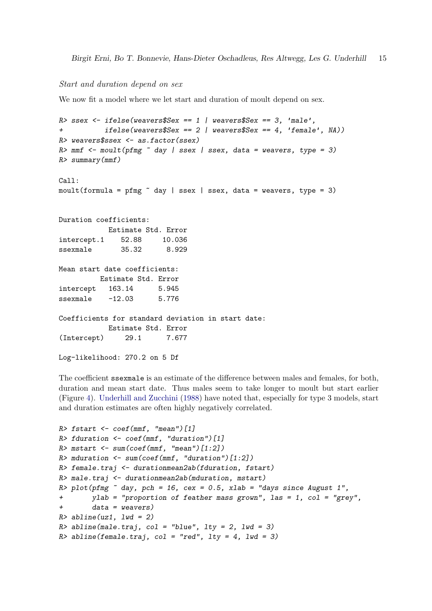### Start and duration depend on sex

We now fit a model where we let start and duration of moult depend on sex.

```
R> ssex \le ifelse(weavers$Sex == 1 | weavers$Sex == 3, 'male',
          ifelse(weavers$Sex == 2 | weavers$Sex == 4, 'female', MA)R> weavers$ssex <- as.factor(ssex)
R \geq mmf \leq moult(pfmg \sim day | ssex | ssex, data = weavers, type = 3)
R> summary(mmf)
Ca11:moult(formula = pfmg \tilde{ } day | ssex | ssex, data = weavers, type = 3)
Duration coefficients:
           Estimate Std. Error
intercept.1 52.88 10.036
ssexmale 35.32 8.929
Mean start date coefficients:
         Estimate Std. Error
intercept 163.14 5.945
ssexmale -12.03 5.776
Coefficients for standard deviation in start date:
           Estimate Std. Error
(Intercept) 29.1 7.677
Log-likelihood: 270.2 on 5 Df
```
The coefficient ssexmale is an estimate of the difference between males and females, for both, duration and mean start date. Thus males seem to take longer to moult but start earlier (Figure [4\)](#page-15-0). [Underhill and Zucchini](#page-21-1) [\(1988\)](#page-21-1) have noted that, especially for type 3 models, start and duration estimates are often highly negatively correlated.

```
R> fstart <- coef(mmf, "mean")[1]
R> fduration \leq coef(mmf, "duration")[1]
R> mstart \leq sum(coef(mmf, "mean")[1:2])
R> mduration \leq sum(coef(mmf, "duration")[1:2])
R> female.traj <- durationmean2ab(fduration, fstart)
R> male.traj <- durationmean2ab(mduration, mstart)
R> plot(pfmg \degree day, pch = 16, cex = 0.5, xlab = "days since August 1",
+ ylab = "proportion of feather mass grown", las = 1, col = "grey",
+ data = weavers)
R> abline(uz1, lwd = 2)
R abline(male.traj, col = "blue", lty = 2, lwd = 3)
R> abline(female.traj, col = "red", lty = 4, lwd = 3)
```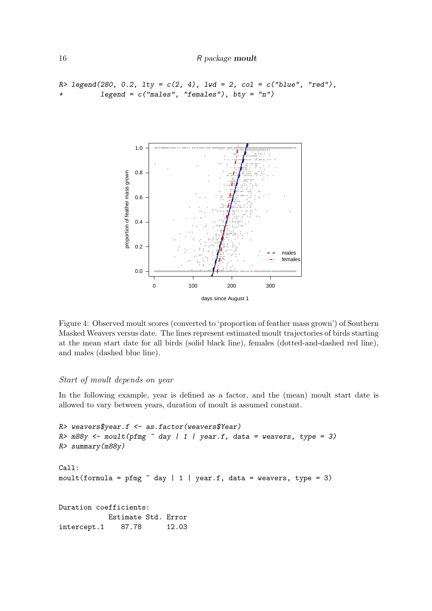```
R> legend(280, 0.2, lty = c(2, 4), lwd = 2, col = c("blue", "red"),+ legend = c("males", "females"), bty = "n")
```


<span id="page-15-0"></span>Figure 4: Observed moult scores (converted to 'proportion of feather mass grown') of Southern Masked Weavers versus date. The lines represent estimated moult trajectories of birds starting at the mean start date for all birds (solid black line), females (dotted-and-dashed red line), and males (dashed blue line).

### Start of moult depends on year

In the following example, year is defined as a factor, and the (mean) moult start date is allowed to vary between years, duration of moult is assumed constant.

```
R> weavers$year.f <- as.factor(weavers$Year)
R > m88y <- moult(pfmg \sim day | 1 | year.f, data = weavers, type = 3)
R> summary(m88y)
Call:
moult(formula = pfmg \tilde{ } day | 1 | year.f, data = weavers, type = 3)
Duration coefficients:
            Estimate Std. Error
intercept.1 87.78 12.03
```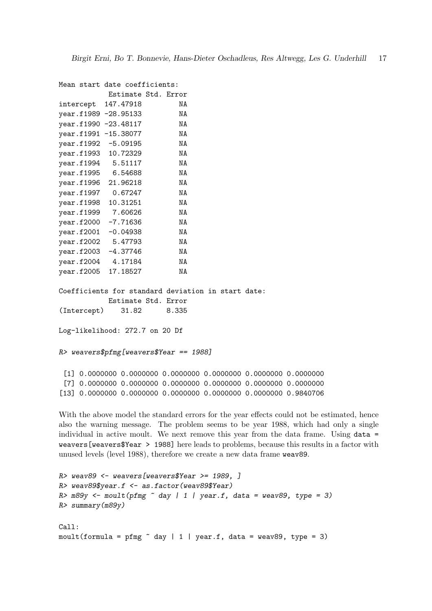Mean start date coefficients: Estimate Std. Error

| intercept 147.47918  |            | ΝA |
|----------------------|------------|----|
| year.f1989 -28.95133 |            | NA |
| year.f1990 -23.48117 |            | NA |
| year.f1991 -15.38077 |            | NA |
| year.f1992 -5.09195  |            | NA |
| year.f1993 10.72329  |            | NA |
| year.f1994 5.51117   |            | ΝA |
| year.f1995 6.54688   |            | NA |
| year.f1996 21.96218  |            | NA |
| year.f1997 0.67247   |            | NA |
| year.f1998 10.31251  |            | NA |
| year.f1999 7.60626   |            | ΝA |
| year.f2000           | $-7.71636$ | NA |
| year.f2001 -0.04938  |            | NA |
| year.f2002 5.47793   |            | NA |
| year.f2003 -4.37746  |            | NA |
| year.f2004 4.17184   |            | ΝA |
| year.f2005 17.18527  |            | ΝA |
|                      |            |    |

Coefficients for standard deviation in start date: Estimate Std. Error (Intercept) 31.82 8.335

Log-likelihood: 272.7 on 20 Df

#### R> weavers\$pfmg[weavers\$Year == 1988]

[1] 0.0000000 0.0000000 0.0000000 0.0000000 0.0000000 0.0000000 [7] 0.0000000 0.0000000 0.0000000 0.0000000 0.0000000 0.0000000 [13] 0.0000000 0.0000000 0.0000000 0.0000000 0.0000000 0.9840706

With the above model the standard errors for the year effects could not be estimated, hence also the warning message. The problem seems to be year 1988, which had only a single individual in active moult. We next remove this year from the data frame. Using data = weavers[weavers\$Year > 1988] here leads to problems, because this results in a factor with unused levels (level 1988), therefore we create a new data frame weav89.

```
R> weav89 <- weavers[weavers$Year >= 1989, ]
R> weav89$year.f <- as.factor(weav89$Year)
R > m89y \leftarrow moult(pfmg \sim day \mid 1 \mid year.f, data = weak89, type = 3)R> summary(m89y)
Call:
moult(formula = pfmg \degree day | 1 | year.f, data = weav89, type = 3)
```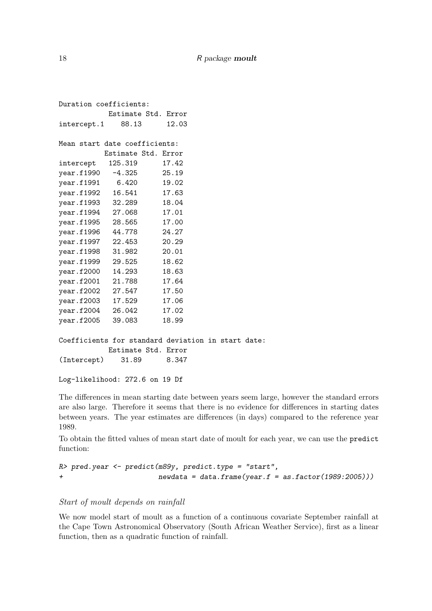```
Duration coefficients:
          Estimate Std. Error
intercept.1 88.13 12.03
Mean start date coefficients:
         Estimate Std. Error
intercept 125.319 17.42
year.f1990 -4.325 25.19
year.f1991 6.420 19.02
year.f1992 16.541 17.63
year.f1993 32.289 18.04
year.f1994 27.068 17.01
year.f1995 28.565 17.00
year.f1996 44.778 24.27
year.f1997 22.453 20.29
year.f1998 31.982 20.01
year.f1999 29.525 18.62
year.f2000 14.293 18.63
year.f2001 21.788 17.64
year.f2002 27.547 17.50
year.f2003 17.529 17.06
year.f2004 26.042 17.02
year.f2005 39.083 18.99
Coefficients for standard deviation in start date:
          Estimate Std. Error
(Intercept) 31.89 8.347
```

```
Log-likelihood: 272.6 on 19 Df
```
The differences in mean starting date between years seem large, however the standard errors are also large. Therefore it seems that there is no evidence for differences in starting dates between years. The year estimates are differences (in days) compared to the reference year 1989.

To obtain the fitted values of mean start date of moult for each year, we can use the predict function:

```
R> pred.year <- predict(m89y, predict.type = "start",
+ newdata = data.frame(year.f = as.factor(1989:2005)))
```
### Start of moult depends on rainfall

We now model start of moult as a function of a continuous covariate September rainfall at the Cape Town Astronomical Observatory (South African Weather Service), first as a linear function, then as a quadratic function of rainfall.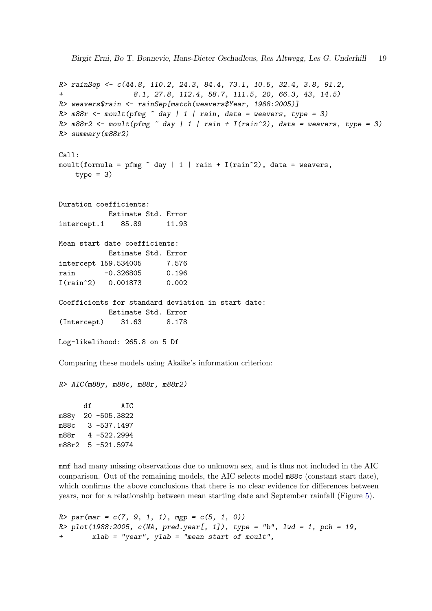```
Birgit Erni, Bo T. Bonnevie, Hans-Dieter Oschadleus, Res Altwegg, Les G. Underhill 19
R> rainSep <- c(44.8, 110.2, 24.3, 84.4, 73.1, 10.5, 32.4, 3.8, 91.2,
+ 8.1, 27.8, 112.4, 58.7, 111.5, 20, 66.3, 43, 14.5)
R> weavers$rain <- rainSep[match(weavers$Year, 1988:2005)]
R> m88r <- moult(pfmg \sim day \mid 1 \mid rain, data = weavers, type = 3)R> m88r2 <- moult(pfmg \sim day \mid 1 \mid rain + I(rain \sim 2), data = weavers, type = 3)
R> summary(m88r2)
Call:
moult(formula = pfmg \tilde{ } day | 1 | rain + I(rain\tilde{ }2), data = weavers,
    type = 3)Duration coefficients:
            Estimate Std. Error
intercept.1 85.89 11.93
Mean start date coefficients:
            Estimate Std. Error
intercept 159.534005 7.576
rain -0.326805 0.196
I(rain^2) 0.001873 0.002
Coefficients for standard deviation in start date:
            Estimate Std. Error
(Intercept) 31.63 8.178
Log-likelihood: 265.8 on 5 Df
Comparing these models using Akaike's information criterion:
R> AIC(m88y, m88c, m88r, m88r2)
      df AIC
```
m88y 20 -505.3822 m88c 3 -537.1497 m88r 4 -522.2994 m88r2 5 -521.5974

mmf had many missing observations due to unknown sex, and is thus not included in the AIC comparison. Out of the remaining models, the AIC selects model m88c (constant start date), which confirms the above conclusions that there is no clear evidence for differences between years, nor for a relationship between mean starting date and September rainfall (Figure [5\)](#page-19-0).

```
R > par(max = c(7, 9, 1, 1), mgp = c(5, 1, 0))R > plot(1988:2005, c(NA, pred.year[, 1]), type = "b", lwd = 1, pch = 19,
        xlab = "year", ylab = "mean start of mouth",
```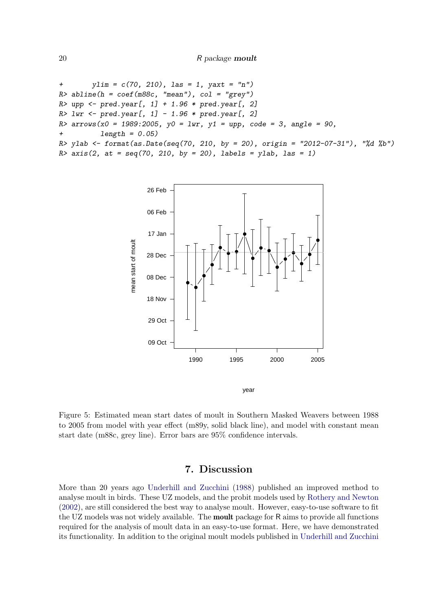```
+ ylim = c(70, 210), las = 1, yaxt = "n")
R abline(h = coef(m88c, "mean"), col = "grey")
R> upp <- pred.year[, 1] + 1.96 * pred.year[, 2]
R > 1wr < - \text{pred.year}[, 1] - 1.96 * \text{pred.year}[, 2]R arrows(x0 = 1989:2005, y0 = lwr, y1 = upp, code = 3, angle = 90,
+ length = 0.05)
R> ylab <- format(as.Date(seq(70, 210, by = 20), origin = "2012-07-31"), "%d %b")
R axis(2, at = seq(70, 210, by = 20), labels = ylab, las = 1)
```


<span id="page-19-0"></span>Figure 5: Estimated mean start dates of moult in Southern Masked Weavers between 1988 to 2005 from model with year effect (m89y, solid black line), and model with constant mean start date (m88c, grey line). Error bars are 95% confidence intervals.

## 7. Discussion

More than 20 years ago [Underhill and Zucchini](#page-21-1) [\(1988\)](#page-21-1) published an improved method to analyse moult in birds. These UZ models, and the probit models used by [Rothery and Newton](#page-21-10) [\(2002\)](#page-21-10), are still considered the best way to analyse moult. However, easy-to-use software to fit the UZ models was not widely available. The **moult** package for R aims to provide all functions required for the analysis of moult data in an easy-to-use format. Here, we have demonstrated its functionality. In addition to the original moult models published in [Underhill and Zucchini](#page-21-1)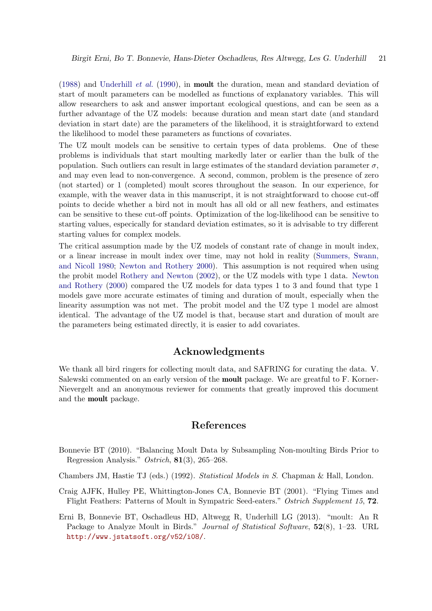[\(1988\)](#page-21-1) and [Underhill](#page-21-2) et al. [\(1990\)](#page-21-2), in moult the duration, mean and standard deviation of start of moult parameters can be modelled as functions of explanatory variables. This will allow researchers to ask and answer important ecological questions, and can be seen as a further advantage of the UZ models: because duration and mean start date (and standard deviation in start date) are the parameters of the likelihood, it is straightforward to extend the likelihood to model these parameters as functions of covariates.

The UZ moult models can be sensitive to certain types of data problems. One of these problems is individuals that start moulting markedly later or earlier than the bulk of the population. Such outliers can result in large estimates of the standard deviation parameter  $\sigma$ , and may even lead to non-convergence. A second, common, problem is the presence of zero (not started) or 1 (completed) moult scores throughout the season. In our experience, for example, with the weaver data in this manuscript, it is not straightforward to choose cut-off points to decide whether a bird not in moult has all old or all new feathers, and estimates can be sensitive to these cut-off points. Optimization of the log-likelihood can be sensitive to starting values, especically for standard deviation estimates, so it is advisable to try different starting values for complex models.

The critical assumption made by the UZ models of constant rate of change in moult index, or a linear increase in moult index over time, may not hold in reality [\(Summers, Swann,](#page-21-13) [and Nicoll](#page-21-13) [1980;](#page-21-13) [Newton and Rothery](#page-21-14) [2000\)](#page-21-14). This assumption is not required when using the probit model [Rothery and Newton](#page-21-10) [\(2002\)](#page-21-10), or the UZ models with type 1 data. [Newton](#page-21-14) [and Rothery](#page-21-14) [\(2000\)](#page-21-14) compared the UZ models for data types 1 to 3 and found that type 1 models gave more accurate estimates of timing and duration of moult, especially when the linearity assumption was not met. The probit model and the UZ type 1 model are almost identical. The advantage of the UZ model is that, because start and duration of moult are the parameters being estimated directly, it is easier to add covariates.

## Acknowledgments

We thank all bird ringers for collecting moult data, and SAFRING for curating the data. V. Salewski commented on an early version of the moult package. We are greatful to F. Korner-Nievergelt and an anonymous reviewer for comments that greatly improved this document and the moult package.

## References

- <span id="page-20-3"></span>Bonnevie BT (2010). "Balancing Moult Data by Subsampling Non-moulting Birds Prior to Regression Analysis." Ostrich, 81(3), 265–268.
- <span id="page-20-1"></span>Chambers JM, Hastie TJ (eds.) (1992). Statistical Models in S. Chapman & Hall, London.
- <span id="page-20-2"></span>Craig AJFK, Hulley PE, Whittington-Jones CA, Bonnevie BT (2001). "Flying Times and Flight Feathers: Patterns of Moult in Sympatric Seed-eaters." Ostrich Supplement 15, 72.
- <span id="page-20-0"></span>Erni B, Bonnevie BT, Oschadleus HD, Altwegg R, Underhill LG (2013). "moult: An R Package to Analyze Moult in Birds." Journal of Statistical Software,  $52(8)$ , 1–23. URL <http://www.jstatsoft.org/v52/i08/>.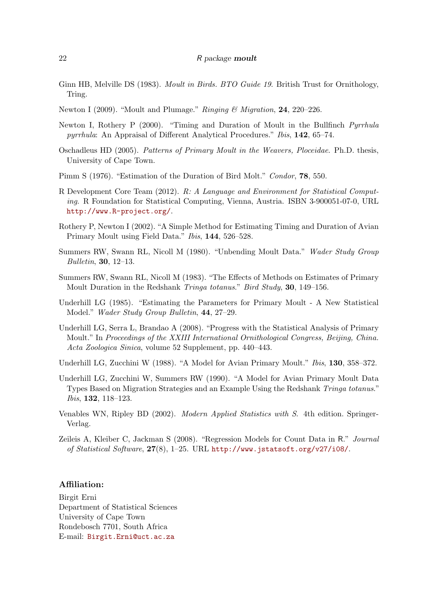#### 22 R package moult

- <span id="page-21-4"></span>Ginn HB, Melville DS (1983). *Moult in Birds. BTO Guide 19*. British Trust for Ornithology, Tring.
- <span id="page-21-0"></span>Newton I (2009). "Moult and Plumage." Ringing & Migration, 24, 220–226.
- <span id="page-21-14"></span>Newton I, Rothery P (2000). "Timing and Duration of Moult in the Bullfinch Pyrrhula pyrrhula: An Appraisal of Different Analytical Procedures." Ibis, 142, 65–74.
- <span id="page-21-12"></span>Oschadleus HD (2005). Patterns of Primary Moult in the Weavers, Ploceidae. Ph.D. thesis, University of Cape Town.
- <span id="page-21-5"></span>Pimm S (1976). "Estimation of the Duration of Bird Molt." Condor, 78, 550.
- <span id="page-21-3"></span>R Development Core Team (2012). R: A Language and Environment for Statistical Computing. R Foundation for Statistical Computing, Vienna, Austria. ISBN 3-900051-07-0, URL <http://www.R-project.org/>.
- <span id="page-21-10"></span>Rothery P, Newton I (2002). "A Simple Method for Estimating Timing and Duration of Avian Primary Moult using Field Data." Ibis, 144, 526–528.
- <span id="page-21-13"></span>Summers RW, Swann RL, Nicoll M (1980). "Unbending Moult Data." Wader Study Group Bulletin, 30, 12–13.
- <span id="page-21-6"></span>Summers RW, Swann RL, Nicoll M (1983). "The Effects of Methods on Estimates of Primary Moult Duration in the Redshank Tringa totanus." Bird Study, 30, 149–156.
- <span id="page-21-7"></span>Underhill LG (1985). "Estimating the Parameters for Primary Moult - A New Statistical Model." Wader Study Group Bulletin, 44, 27–29.
- <span id="page-21-8"></span>Underhill LG, Serra L, Brandao A (2008). "Progress with the Statistical Analysis of Primary Moult." In Proceedings of the XXIII International Ornithological Congress, Beijing, China. Acta Zoologica Sinica, volume 52 Supplement, pp. 440–443.
- <span id="page-21-1"></span>Underhill LG, Zucchini W (1988). "A Model for Avian Primary Moult." *Ibis*, **130**, 358-372.
- <span id="page-21-2"></span>Underhill LG, Zucchini W, Summers RW (1990). "A Model for Avian Primary Moult Data Types Based on Migration Strategies and an Example Using the Redshank Tringa totanus." Ibis, 132, 118–123.
- <span id="page-21-11"></span>Venables WN, Ripley BD (2002). Modern Applied Statistics with S. 4th edition. Springer-Verlag.
- <span id="page-21-9"></span>Zeileis A, Kleiber C, Jackman S (2008). "Regression Models for Count Data in R." Journal of Statistical Software, 27(8), 1–25. URL <http://www.jstatsoft.org/v27/i08/>.

#### Affiliation:

Birgit Erni Department of Statistical Sciences University of Cape Town Rondebosch 7701, South Africa E-mail: [Birgit.Erni@uct.ac.za](mailto:Birgit.Erni@uct.ac.za)